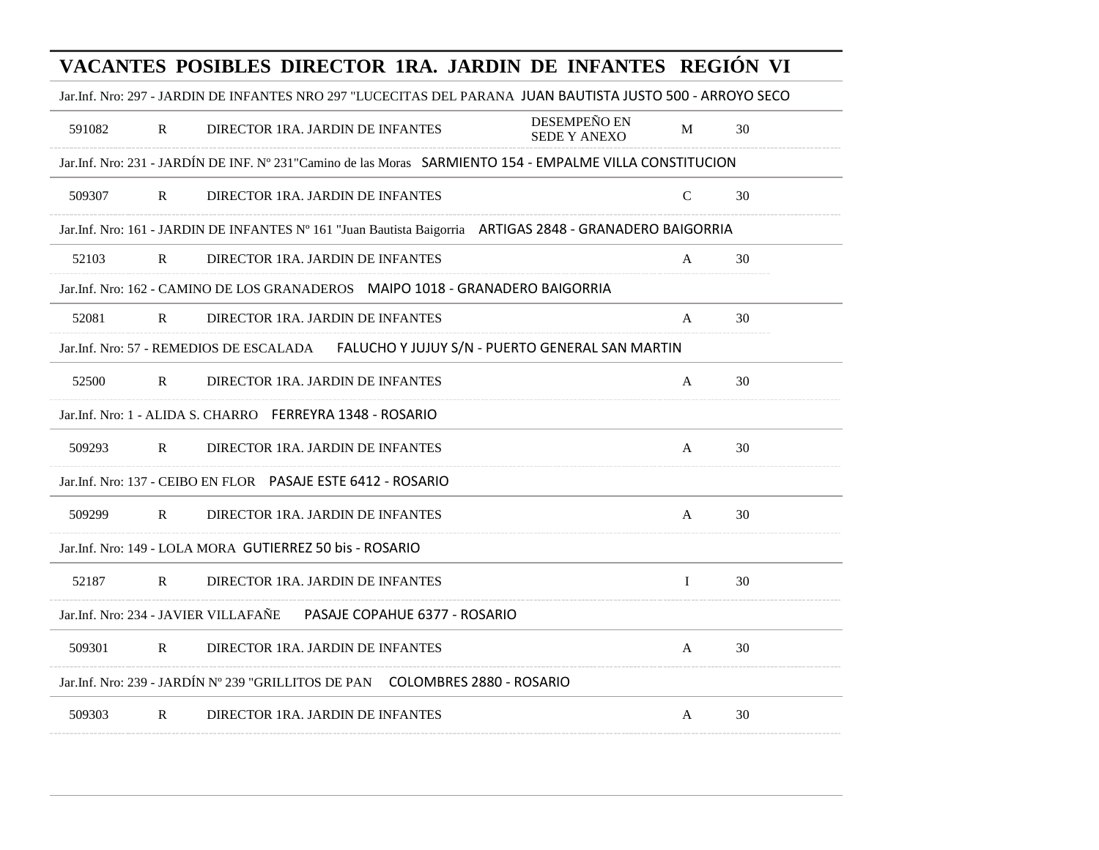|                                                                 |              |                                  |                                                                                   | VACANTES POSIBLES DIRECTOR 1RA. JARDIN DE INFANTES REGIÓN VI                                               |             |    |
|-----------------------------------------------------------------|--------------|----------------------------------|-----------------------------------------------------------------------------------|------------------------------------------------------------------------------------------------------------|-------------|----|
|                                                                 |              |                                  |                                                                                   | Jar.Inf. Nro: 297 - JARDIN DE INFANTES NRO 297 "LUCECITAS DEL PARANA JUAN BAUTISTA JUSTO 500 - ARROYO SECO |             |    |
| 591082                                                          | $\mathbf{R}$ | DIRECTOR 1RA. JARDIN DE INFANTES |                                                                                   | DESEMPEÑO EN<br>SEDE Y ANEXO                                                                               | M           | 30 |
|                                                                 |              |                                  |                                                                                   | Jar.Inf. Nro: 231 - JARDÍN DE INF. Nº 231 "Camino de las Moras SARMIENTO 154 - EMPALME VILLA CONSTITUCION  |             |    |
| 509307                                                          | $\mathbf R$  | DIRECTOR 1RA. JARDIN DE INFANTES |                                                                                   |                                                                                                            | $\mathbf C$ | 30 |
|                                                                 |              |                                  |                                                                                   | Jar.Inf. Nro: 161 - JARDIN DE INFANTES Nº 161 "Juan Bautista Baigorria ARTIGAS 2848 - GRANADERO BAIGORRIA  |             |    |
| 52103                                                           | $\mathbb{R}$ | DIRECTOR 1RA. JARDIN DE INFANTES |                                                                                   |                                                                                                            | A           | 30 |
|                                                                 |              |                                  | Jar.Inf. Nro: 162 - CAMINO DE LOS GRANADEROS     MAIPO 1018 - GRANADERO BAIGORRIA |                                                                                                            |             |    |
| 52081                                                           | $\mathbf R$  | DIRECTOR 1RA. JARDIN DE INFANTES |                                                                                   |                                                                                                            | A           | 30 |
| Jar.Inf. Nro: 57 - REMEDIOS DE ESCALADA                         |              |                                  |                                                                                   | FALUCHO Y JUJUY S/N - PUERTO GENERAL SAN MARTIN                                                            |             |    |
| 52500                                                           | R            | DIRECTOR 1RA. JARDIN DE INFANTES |                                                                                   |                                                                                                            | A           | 30 |
| Jar.Inf. Nro: 1 - ALIDA S. CHARRO FERREYRA 1348 - ROSARIO       |              |                                  |                                                                                   |                                                                                                            |             |    |
| 509293                                                          | $\mathbf{R}$ | DIRECTOR 1RA. JARDIN DE INFANTES |                                                                                   |                                                                                                            | A           | 30 |
| Jar.Inf. Nro: 137 - CEIBO EN FLOR    PASAJE ESTE 6412 - ROSARIO |              |                                  |                                                                                   |                                                                                                            |             |    |
| 509299                                                          | $\mathbf{R}$ | DIRECTOR 1RA. JARDIN DE INFANTES |                                                                                   |                                                                                                            | A           | 30 |
| Jar.Inf. Nro: 149 - LOLA MORA GUTIERREZ 50 bis - ROSARIO        |              |                                  |                                                                                   |                                                                                                            |             |    |
| 52187                                                           | $\mathbf{R}$ | DIRECTOR 1RA. JARDIN DE INFANTES |                                                                                   |                                                                                                            | $\bf{I}$    | 30 |
| Jar.Inf. Nro: 234 - JAVIER VILLAFAÑE                            |              |                                  | PASAJE COPAHUE 6377 - ROSARIO                                                     |                                                                                                            |             |    |
| 509301                                                          | $\mathbb{R}$ | DIRECTOR 1RA. JARDIN DE INFANTES |                                                                                   |                                                                                                            | A           | 30 |
|                                                                 |              |                                  | Jar.Inf. Nro: 239 - JARDÍN Nº 239 "GRILLITOS DE PAN COLOMBRES 2880 - ROSARIO      |                                                                                                            |             |    |
| 509303                                                          | $\mathbf{R}$ | DIRECTOR 1RA. JARDIN DE INFANTES |                                                                                   |                                                                                                            | A           | 30 |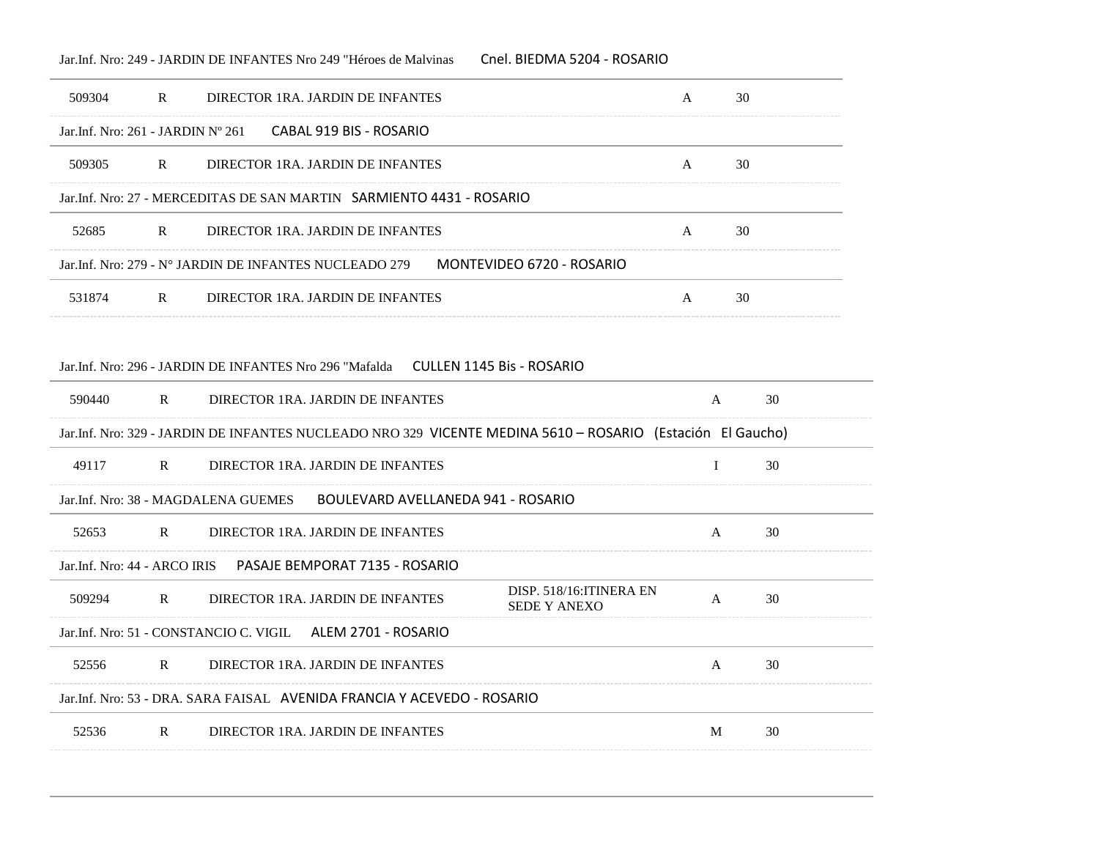### Jar.Inf. Nro: 249 - JARDIN DE INFANTES Nro 249 "Héroes de Malvinas Cnel. BIEDMA 5204 - ROSARIO

| 509304                              | R            | DIRECTOR 1RA. JARDIN DE INFANTES                                                                           | A            | 30 |    |
|-------------------------------------|--------------|------------------------------------------------------------------------------------------------------------|--------------|----|----|
| Jar.Inf. Nro: $261 - JARDIN No 261$ |              | CABAL 919 BIS - ROSARIO                                                                                    |              |    |    |
| 509305                              | $\mathbf{R}$ | DIRECTOR 1RA. JARDIN DE INFANTES                                                                           | A            | 30 |    |
|                                     |              | Jar.Inf. Nro: 27 - MERCEDITAS DE SAN MARTIN    SARMIENTO 4431 - ROSARIO                                    |              |    |    |
| 52685                               | $\mathbb{R}$ | DIRECTOR 1RA. JARDIN DE INFANTES                                                                           | A            | 30 |    |
|                                     |              | Jar.Inf. Nro: 279 - Nº JARDIN DE INFANTES NUCLEADO 279<br>MONTEVIDEO 6720 - ROSARIO                        |              |    |    |
| 531874                              | $\mathsf{R}$ | DIRECTOR 1RA. JARDIN DE INFANTES                                                                           | $\mathsf{A}$ | 30 |    |
|                                     |              |                                                                                                            |              |    |    |
|                                     |              | Jar.Inf. Nro: 296 - JARDIN DE INFANTES Nro 296 "Mafalda      CULLEN 1145 Bis - ROSARIO                     |              |    |    |
| 590440                              | R            | DIRECTOR 1RA. JARDIN DE INFANTES                                                                           | A            |    | 30 |
|                                     |              | Jar.Inf. Nro: 329 - JARDIN DE INFANTES NUCLEADO NRO 329 VICENTE MEDINA 5610 - ROSARIO (Estación El Gaucho) |              |    |    |
| 49117                               | $\mathbb{R}$ | DIRECTOR 1RA. JARDIN DE INFANTES                                                                           | $\bf{I}$     |    | 30 |
|                                     |              | Jar.Inf. Nro: 38 - MAGDALENA GUEMES<br>BOULEVARD AVELLANEDA 941 - ROSARIO                                  |              |    |    |
| 52653                               | $\mathbb{R}$ | DIRECTOR 1RA. JARDIN DE INFANTES                                                                           | A            |    | 30 |
|                                     |              |                                                                                                            |              |    |    |
| Jar. Inf. Nro: 44 - ARCO IRIS       |              | PASAJE BEMPORAT 7135 - ROSARIO                                                                             |              |    |    |
| 509294                              | R            | DISP. 518/16: ITINERA EN<br>DIRECTOR 1RA. JARDIN DE INFANTES<br><b>SEDE Y ANEXO</b>                        | A            |    | 30 |
|                                     |              | ALEM 2701 - ROSARIO<br>Jar.Inf. Nro: 51 - CONSTANCIO C. VIGIL                                              |              |    |    |
| 52556                               | $\mathbb{R}$ | DIRECTOR 1RA. JARDIN DE INFANTES                                                                           | A            |    | 30 |
|                                     |              | Jar.Inf. Nro: 53 - DRA. SARA FAISAL - AVENIDA FRANCIA Y ACEVEDO - ROSARIO                                  |              |    |    |
| 52536                               | R            | DIRECTOR 1RA. JARDIN DE INFANTES                                                                           | M            |    | 30 |

 $\overline{\phantom{a}}$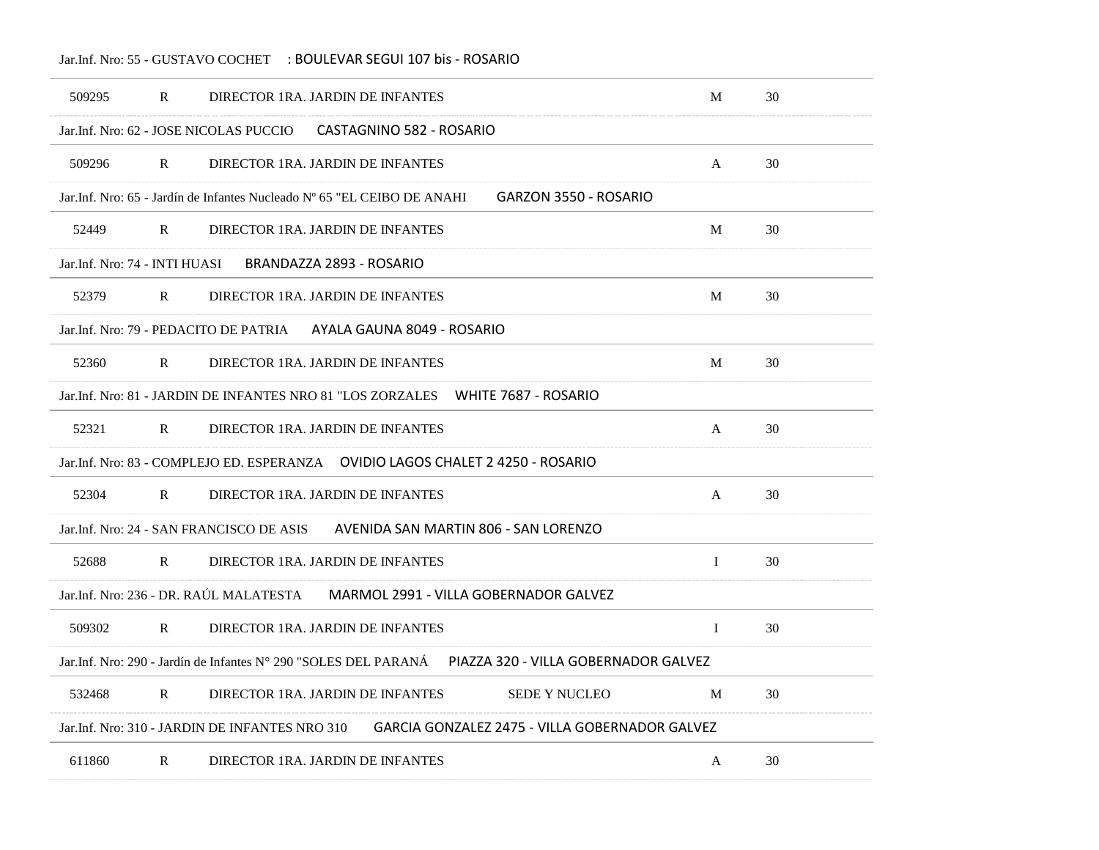## Jar.Inf. Nro: 55 - GUSTAVO COCHET : BOULEVAR SEGUI 107 bis - ROSARIO

| 509295                        | R            | DIRECTOR 1RA. JARDIN DE INFANTES                                                                         | M            | 30 |
|-------------------------------|--------------|----------------------------------------------------------------------------------------------------------|--------------|----|
|                               |              | CASTAGNINO 582 - ROSARIO<br>Jar.Inf. Nro: 62 - JOSE NICOLAS PUCCIO                                       |              |    |
| 509296                        | $\mathbb{R}$ | DIRECTOR 1RA. JARDIN DE INFANTES                                                                         | A            | 30 |
|                               |              | Jar. Inf. Nro: 65 - Jardín de Infantes Nucleado Nº 65 "EL CEIBO DE ANAHI<br><b>GARZON 3550 - ROSARIO</b> |              |    |
| 52449                         | R            | DIRECTOR 1RA. JARDIN DE INFANTES                                                                         | M            | 30 |
| Jar.Inf. Nro: 74 - INTI HUASI |              | BRANDAZZA 2893 - ROSARIO                                                                                 |              |    |
| 52379                         | R            | DIRECTOR 1RA. JARDIN DE INFANTES                                                                         | M            | 30 |
|                               |              | AYALA GAUNA 8049 - ROSARIO<br>Jar. Inf. Nro: 79 - PEDACITO DE PATRIA                                     |              |    |
| 52360                         | $\mathbf{R}$ | DIRECTOR 1RA. JARDIN DE INFANTES                                                                         | M            | 30 |
|                               |              | Jar. Inf. Nro: 81 - JARDIN DE INFANTES NRO 81 "LOS ZORZALES"<br>WHITE 7687 - ROSARIO                     |              |    |
| 52321                         | $\mathbb{R}$ | DIRECTOR 1RA. JARDIN DE INFANTES                                                                         | A            | 30 |
|                               |              | Jar.Inf. Nro: 83 - COMPLEJO ED. ESPERANZA     OVIDIO LAGOS CHALET 2 4250 - ROSARIO                       |              |    |
| 52304                         | $\mathbb{R}$ | DIRECTOR 1RA. JARDIN DE INFANTES                                                                         | A            | 30 |
|                               |              | Jar. Inf. Nro: 24 - SAN FRANCISCO DE ASIS<br>AVENIDA SAN MARTIN 806 - SAN LORENZO                        |              |    |
| 52688                         | R            | DIRECTOR 1RA. JARDIN DE INFANTES                                                                         | $\mathbf{I}$ | 30 |
|                               |              | Jar.Inf. Nro: 236 - DR. RAÚL MALATESTA<br>MARMOL 2991 - VILLA GOBERNADOR GALVEZ                          |              |    |
| 509302                        | R            | DIRECTOR 1RA. JARDIN DE INFANTES                                                                         | $\bf{I}$     | 30 |
|                               |              | Jar.Inf. Nro: 290 - Jardín de Infantes N° 290 "SOLES DEL PARANÁ<br>PIAZZA 320 - VILLA GOBERNADOR GALVEZ  |              |    |
| 532468                        | R            | DIRECTOR 1RA. JARDIN DE INFANTES<br><b>SEDE Y NUCLEO</b>                                                 | M            | 30 |
|                               |              | GARCIA GONZALEZ 2475 - VILLA GOBERNADOR GALVEZ<br>Jar.Inf. Nro: 310 - JARDIN DE INFANTES NRO 310         |              |    |
| 611860                        | $\mathbb{R}$ | DIRECTOR 1RA. JARDIN DE INFANTES                                                                         | A            | 30 |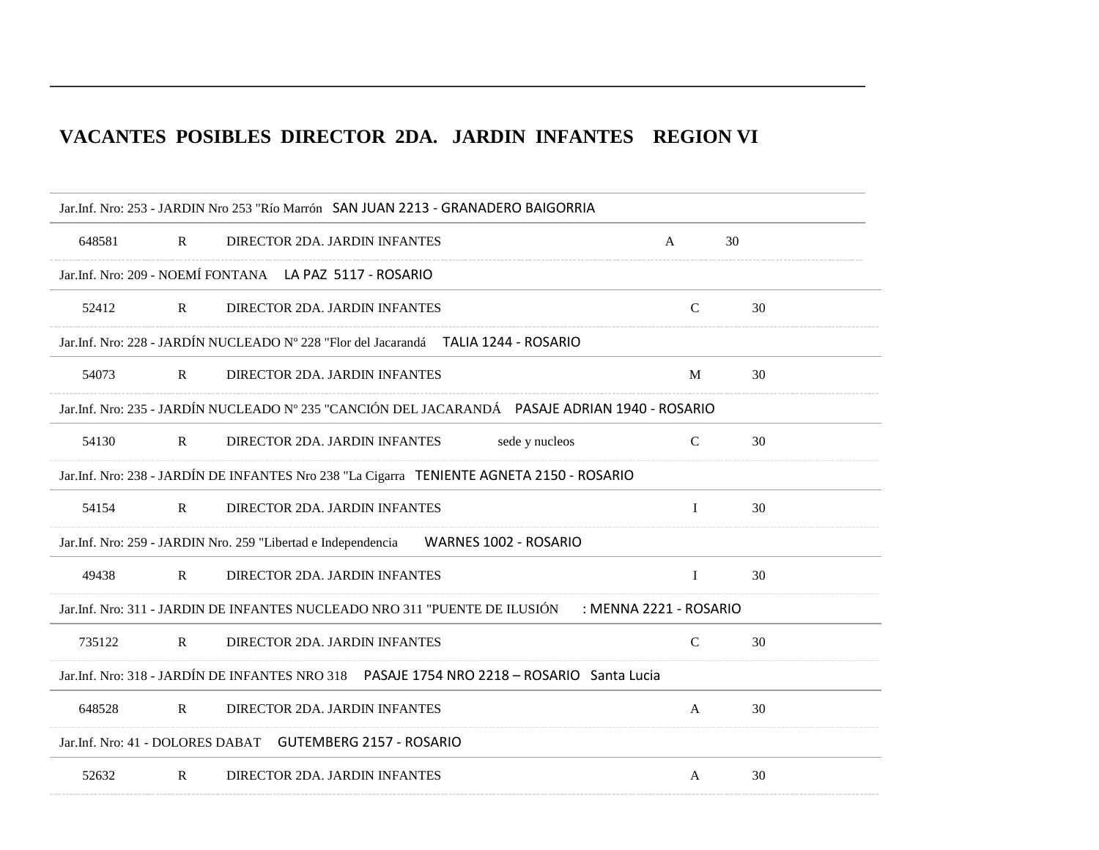## **VACANTES POSIBLES DIRECTOR 2DA. JARDIN INFANTES REGION VI**

|        |              | Jar.Inf. Nro: 253 - JARDIN Nro 253 "Río Marrón SAN JUAN 2213 - GRANADERO BAIGORRIA                   |               |    |
|--------|--------------|------------------------------------------------------------------------------------------------------|---------------|----|
| 648581 | $\mathbf{R}$ | DIRECTOR 2DA. JARDIN INFANTES                                                                        | A             | 30 |
|        |              | Jar.Inf. Nro: 209 - NOEMÍ FONTANA LA PAZ 5117 - ROSARIO                                              |               |    |
| 52412  | $\mathbf{R}$ | DIRECTOR 2DA. JARDIN INFANTES                                                                        | $\mathcal{C}$ | 30 |
|        |              | Jar.Inf. Nro: 228 - JARDÍN NUCLEADO Nº 228 "Flor del Jacarandá TALIA 1244 - ROSARIO                  |               |    |
| 54073  | $\mathbf{R}$ | DIRECTOR 2DA. JARDIN INFANTES                                                                        | M             | 30 |
|        |              | Jar.Inf. Nro: 235 - JARDÍN NUCLEADO Nº 235 "CANCIÓN DEL JACARANDÁ PASAJE ADRIAN 1940 - ROSARIO       |               |    |
| 54130  | $\mathbb{R}$ | DIRECTOR 2DA. JARDIN INFANTES<br>sede y nucleos                                                      | $\mathsf{C}$  | 30 |
|        |              | Jar.Inf. Nro: 238 - JARDÍN DE INFANTES Nro 238 "La Cigarra TENIENTE AGNETA 2150 - ROSARIO            |               |    |
| 54154  | $\mathbf{R}$ | DIRECTOR 2DA. JARDIN INFANTES                                                                        | $\bf{I}$      | 30 |
|        |              | WARNES 1002 - ROSARIO<br>Jar.Inf. Nro: 259 - JARDIN Nro. 259 "Libertad e Independencia               |               |    |
| 49438  | $\mathbf{R}$ | DIRECTOR 2DA. JARDIN INFANTES                                                                        | $\bf{I}$      | 30 |
|        |              | Jar.Inf. Nro: 311 - JARDIN DE INFANTES NUCLEADO NRO 311 "PUENTE DE ILUSIÓN<br>: MENNA 2221 - ROSARIO |               |    |
| 735122 | $\mathbb{R}$ | DIRECTOR 2DA. JARDIN INFANTES                                                                        | $\mathbf C$   | 30 |
|        |              | Jar.Inf. Nro: 318 - JARDÍN DE INFANTES NRO 318  PASAJE 1754 NRO 2218 - ROSARIO Santa Lucia           |               |    |
| 648528 | $\mathbb{R}$ | DIRECTOR 2DA. JARDIN INFANTES                                                                        | $\mathbf{A}$  | 30 |
|        |              | Jar.Inf. Nro: 41 - DOLORES DABAT GUTEMBERG 2157 - ROSARIO                                            |               |    |
| 52632  | $\mathbf{R}$ | DIRECTOR 2DA. JARDIN INFANTES                                                                        | $\mathbf{A}$  | 30 |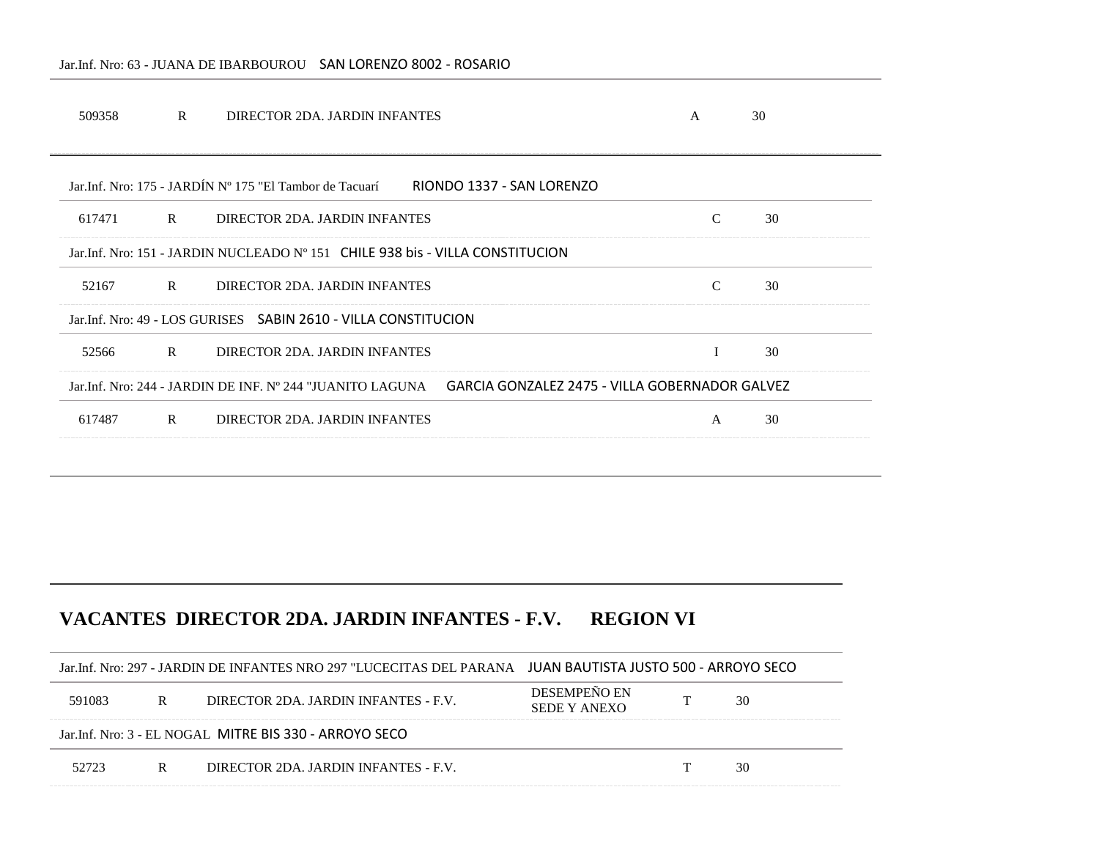#### Jar.Inf. Nro: 63 - JUANA DE IBARBOUROU SAN LORENZO 8002 - ROSARIO

| 509358 | $\mathbb{R}$ | DIRECTOR 2DA. JARDIN INFANTES                                                  | A                                                                                                         |               | 30 |
|--------|--------------|--------------------------------------------------------------------------------|-----------------------------------------------------------------------------------------------------------|---------------|----|
|        |              | Jar Jnf. Nro: 175 - JARDÍN Nº 175 "El Tambor de Tacuarí"                       | RIONDO 1337 - SAN LORENZO                                                                                 |               |    |
| 617471 | $\mathbf{R}$ | DIRECTOR 2DA. JARDIN INFANTES                                                  |                                                                                                           | $\mathcal{C}$ | 30 |
|        |              | Jar. Inf. Nro: 151 - JARDIN NUCLEADO Nº 151 CHILE 938 bis - VILLA CONSTITUCION |                                                                                                           |               |    |
| 52167  | $\mathbf{R}$ | DIRECTOR 2DA. JARDIN INFANTES                                                  |                                                                                                           | $\mathcal{C}$ | 30 |
|        |              | Jar. Inf. Nro: 49 - LOS GURISES SABIN 2610 - VILLA CONSTITUCION                |                                                                                                           |               |    |
| 52566  | $\mathbb{R}$ | DIRECTOR 2DA. JARDIN INFANTES                                                  |                                                                                                           |               | 30 |
|        |              |                                                                                | Jar. Inf. Nro: 244 - JARDIN DE INF. N° 244 "JUANITO LAGUNA GARCIA GONZALEZ 2475 - VILLA GOBERNADOR GALVEZ |               |    |
| 617487 | R            | DIRECTOR 2DA. JARDIN INFANTES                                                  |                                                                                                           | $\mathsf{A}$  | 30 |
|        |              |                                                                                |                                                                                                           |               |    |

# **VACANTES DIRECTOR 2DA. JARDIN INFANTES - F.V. REGION VI**

|        | Jar.Inf. Nro: 297 - JARDIN DE INFANTES NRO 297 "LUCECITAS DEL PARANA JUAN BAUTISTA JUSTO 500 - ARROYO SECO |                                                         |                                     |  |    |
|--------|------------------------------------------------------------------------------------------------------------|---------------------------------------------------------|-------------------------------------|--|----|
| 591083 | R                                                                                                          | DIRECTOR 2DA. JARDIN INFANTES - F.V.                    | <b>DESEMPENO EN</b><br>SEDE Y ANEXO |  | 30 |
|        |                                                                                                            | Jar. Inf. Nro: 3 - EL NOGAL MITRE BIS 330 - ARROYO SECO |                                     |  |    |
| 52723  | R                                                                                                          | DIRECTOR 2DA. JARDIN INFANTES - F.V.                    |                                     |  | 30 |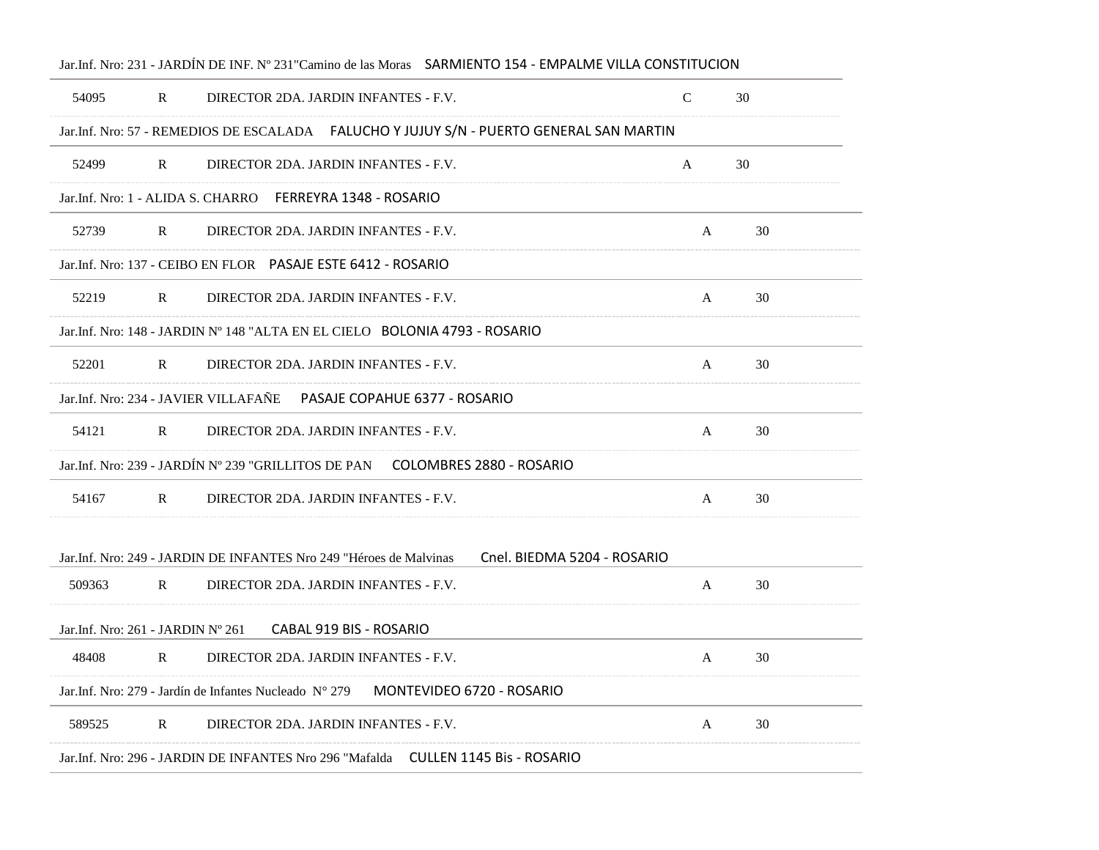|                                    |              | Jar.Inf. Nro: 231 - JARDÍN DE INF. Nº 231 "Camino de las Moras SARMIENTO 154 - EMPALME VILLA CONSTITUCION |             |    |
|------------------------------------|--------------|-----------------------------------------------------------------------------------------------------------|-------------|----|
| 54095                              | $\mathbf{R}$ | DIRECTOR 2DA. JARDIN INFANTES - F.V.                                                                      | $\mathbf C$ | 30 |
|                                    |              | Jar.Inf. Nro: 57 - REMEDIOS DE ESCALADA FALUCHO Y JUJUY S/N - PUERTO GENERAL SAN MARTIN                   |             |    |
| 52499                              | $\mathbf{R}$ | DIRECTOR 2DA. JARDIN INFANTES - F.V.                                                                      | A           | 30 |
|                                    |              | Jar.Inf. Nro: 1 - ALIDA S. CHARRO FERREYRA 1348 - ROSARIO                                                 |             |    |
| 52739                              | R            | DIRECTOR 2DA. JARDIN INFANTES - F.V.                                                                      | A           | 30 |
|                                    |              | Jar. Inf. Nro: 137 - CEIBO EN FLOR PASAJE ESTE 6412 - ROSARIO                                             |             |    |
| 52219                              | R            | DIRECTOR 2DA. JARDIN INFANTES - F.V.                                                                      | A           | 30 |
|                                    |              | Jar.Inf. Nro: 148 - JARDIN N° 148 "ALTA EN EL CIELO BOLONIA 4793 - ROSARIO                                |             |    |
| 52201                              | $\mathbb{R}$ | DIRECTOR 2DA. JARDIN INFANTES - F.V.                                                                      | A           | 30 |
|                                    |              | Jar.Inf. Nro: 234 - JAVIER VILLAFAÑE<br>PASAJE COPAHUE 6377 - ROSARIO                                     |             |    |
| 54121                              | R            | DIRECTOR 2DA. JARDIN INFANTES - F.V.                                                                      | A           | 30 |
|                                    |              | Jar.Inf. Nro: 239 - JARDÍN Nº 239 "GRILLITOS DE PAN       COLOMBRES 2880 - ROSARIO                        |             |    |
| 54167                              | $\mathbf{R}$ | DIRECTOR 2DA. JARDIN INFANTES - F.V.                                                                      | A           | 30 |
|                                    |              |                                                                                                           |             |    |
|                                    |              | Cnel. BIEDMA 5204 - ROSARIO<br>Jar. Inf. Nro: 249 - JARDIN DE INFANTES Nro 249 "Héroes de Malvinas"       |             |    |
| 509363                             | $\mathbb{R}$ | DIRECTOR 2DA. JARDIN INFANTES - F.V.                                                                      | A           | 30 |
| Jar. Inf. Nro: 261 - JARDIN Nº 261 |              | CABAL 919 BIS - ROSARIO                                                                                   |             |    |
| 48408                              | R            | DIRECTOR 2DA. JARDIN INFANTES - F.V.                                                                      | A           | 30 |
|                                    |              | MONTEVIDEO 6720 - ROSARIO<br>Jar. Inf. Nro: 279 - Jardín de Infantes Nucleado N° 279                      |             |    |
| 589525                             | R            | DIRECTOR 2DA. JARDIN INFANTES - F.V.                                                                      | A           | 30 |
|                                    |              | Jar.Inf. Nro: 296 - JARDIN DE INFANTES Nro 296 "Mafalda - CULLEN 1145 Bis - ROSARIO                       |             |    |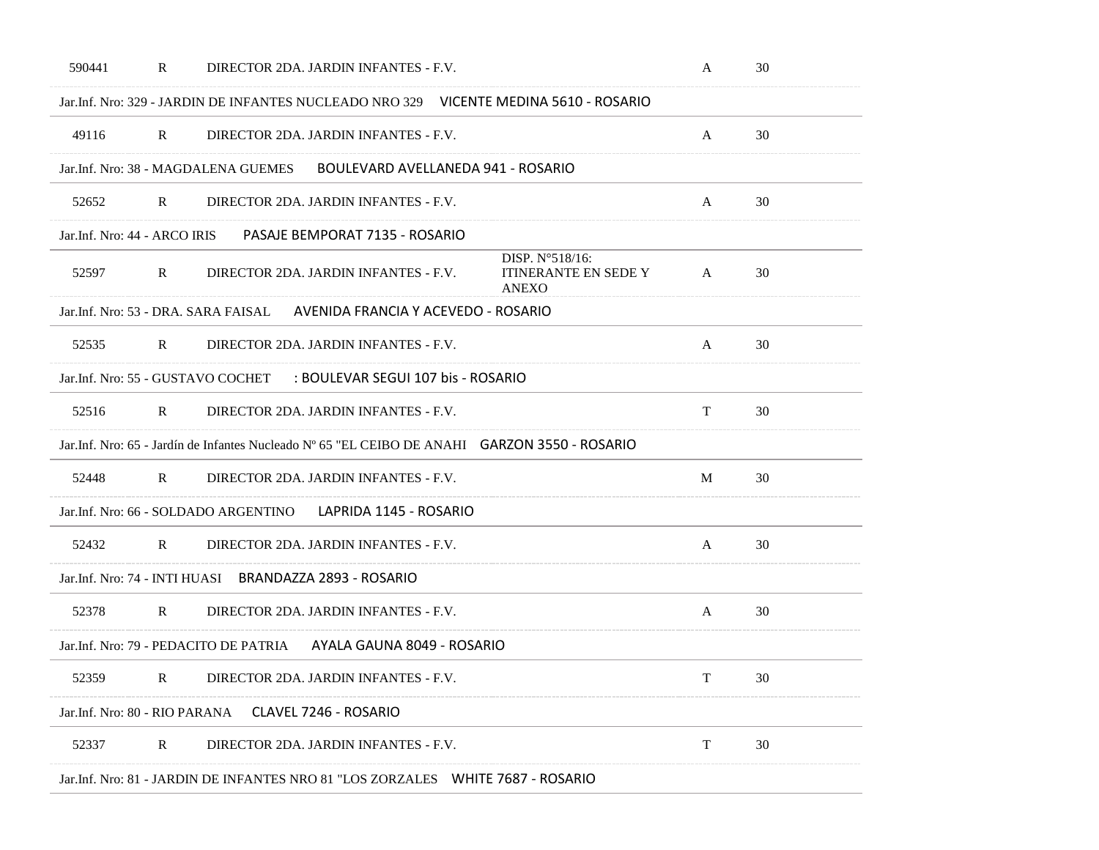| 590441<br>R                                             | DIRECTOR 2DA. JARDIN INFANTES - F.V.                                                          |                                                                | A  | 30 |
|---------------------------------------------------------|-----------------------------------------------------------------------------------------------|----------------------------------------------------------------|----|----|
|                                                         | Jar. Inf. Nro: 329 - JARDIN DE INFANTES NUCLEADO NRO 329 VICENTE MEDINA 5610 - ROSARIO        |                                                                |    |    |
| 49116<br>R                                              | DIRECTOR 2DA. JARDIN INFANTES - F.V.                                                          |                                                                | A  | 30 |
| Jar.Inf. Nro: 38 - MAGDALENA GUEMES                     | BOULEVARD AVELLANEDA 941 - ROSARIO                                                            |                                                                |    |    |
| 52652<br>R                                              | DIRECTOR 2DA. JARDIN INFANTES - F.V.                                                          |                                                                | A  | 30 |
| Jar. Inf. Nro: 44 - ARCO IRIS                           | PASAJE BEMPORAT 7135 - ROSARIO                                                                |                                                                |    |    |
| 52597<br>R                                              | DIRECTOR 2DA. JARDIN INFANTES - F.V.                                                          | DISP. N°518/16:<br><b>ITINERANTE EN SEDE Y</b><br><b>ANEXO</b> | A  | 30 |
| Jar.Inf. Nro: 53 - DRA. SARA FAISAL                     | AVENIDA FRANCIA Y ACEVEDO - ROSARIO                                                           |                                                                |    |    |
| 52535<br>$\mathbb{R}$                                   | DIRECTOR 2DA. JARDIN INFANTES - F.V.                                                          |                                                                | A  | 30 |
| Jar.Inf. Nro: 55 - GUSTAVO COCHET                       | : BOULEVAR SEGUI 107 bis - ROSARIO                                                            |                                                                |    |    |
| 52516<br>$\mathbb{R}$                                   | DIRECTOR 2DA. JARDIN INFANTES - F.V.                                                          |                                                                | T  | 30 |
|                                                         | Jar.Inf. Nro: 65 - Jardín de Infantes Nucleado Nº 65 "EL CEIBO DE ANAHI GARZON 3550 - ROSARIO |                                                                |    |    |
| 52448<br>$\mathbb{R}$                                   | DIRECTOR 2DA. JARDIN INFANTES - F.V.                                                          |                                                                | M  | 30 |
| Jar.Inf. Nro: 66 - SOLDADO ARGENTINO                    | LAPRIDA 1145 - ROSARIO                                                                        |                                                                |    |    |
| 52432<br>$\mathbb{R}$                                   | DIRECTOR 2DA. JARDIN INFANTES - F.V.                                                          |                                                                | A  | 30 |
| Jar. Inf. Nro: 74 - INTI HUASI BRANDAZZA 2893 - ROSARIO |                                                                                               |                                                                |    |    |
| 52378<br>R                                              | DIRECTOR 2DA. JARDIN INFANTES - F.V.                                                          |                                                                | A  | 30 |
| Jar. Inf. Nro: 79 - PEDACITO DE PATRIA                  | AYALA GAUNA 8049 - ROSARIO                                                                    |                                                                |    |    |
| 52359<br>R                                              | DIRECTOR 2DA. JARDIN INFANTES - F.V.                                                          |                                                                | T. | 30 |
| Jar.Inf. Nro: 80 - RIO PARANA                           | CLAVEL 7246 - ROSARIO                                                                         |                                                                |    |    |
| 52337<br>$\mathbb{R}$                                   | DIRECTOR 2DA. JARDIN INFANTES - F.V.                                                          |                                                                | T  | 30 |
|                                                         | Jar.Inf. Nro: 81 - JARDIN DE INFANTES NRO 81 "LOS ZORZALES WHITE 7687 - ROSARIO               |                                                                |    |    |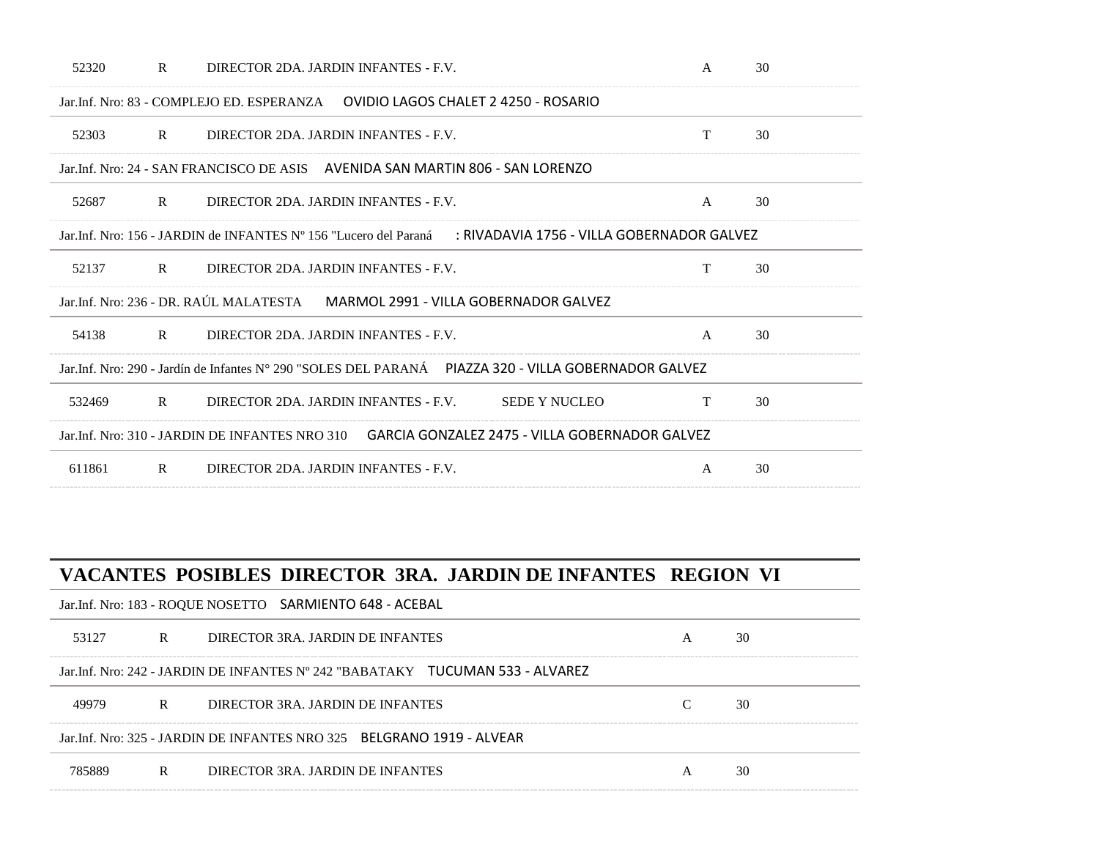| 52320  | $\mathbf{R}$ | DIRECTOR 2DA. JARDIN INFANTES - F.V.                                                                             | A            | 30 |
|--------|--------------|------------------------------------------------------------------------------------------------------------------|--------------|----|
|        |              | Jar. Inf. Nro: 83 - COMPLEJO ED. ESPERANZA — OVIDIO LAGOS CHALET 2 4250 - ROSARIO                                |              |    |
| 52303  | $\mathbb{R}$ | DIRECTOR 2DA. JARDIN INFANTES - F.V.                                                                             | T            | 30 |
|        |              | Jar. Inf. Nro: 24 - SAN FRANCISCO DE ASIS AVENIDA SAN MARTIN 806 - SAN LORENZO                                   |              |    |
| 52687  | $\mathbb{R}$ | DIRECTOR 2DA. JARDIN INFANTES - F.V.                                                                             | $\mathsf{A}$ | 30 |
|        |              | : RIVADAVIA 1756 - VILLA GOBERNADOR GALVEZ<br>Jar. Inf. Nro: 156 - JARDIN de INFANTES N° 156 "Lucero del Paraná" |              |    |
| 52137  | $\mathbf{R}$ | DIRECTOR 2DA. JARDIN INFANTES - F.V.                                                                             | T            | 30 |
|        |              | Jar.Inf. Nro: 236 - DR. RAÚL MALATESTA MARMOL 2991 - VILLA GOBERNADOR GALVEZ                                     |              |    |
| 54138  | $\mathbf{R}$ | DIRECTOR 2DA. JARDIN INFANTES - F.V.                                                                             | $\mathsf{A}$ | 30 |
|        |              | Jar. Inf. Nro: 290 - Jardín de Infantes N° 290 "SOLES DEL PARANÁ PIAZZA 320 - VILLA GOBERNADOR GALVEZ            |              |    |
| 532469 | $\mathbf{R}$ | DIRECTOR 2DA. JARDIN INFANTES - F.V.<br><b>SEDE Y NUCLEO</b>                                                     | T            | 30 |
|        |              | Jar. Inf. Nro: 310 - JARDIN DE INFANTES NRO 310 GARCIA GONZALEZ 2475 - VILLA GOBERNADOR GALVEZ                   |              |    |
| 611861 | $\mathbf{R}$ | DIRECTOR 2DA. JARDIN INFANTES - F.V.                                                                             | $\mathsf{A}$ | 30 |

|        |   | VACANTES POSIBLES DIRECTOR 3RA. JARDIN DE INFANTES REGION VI                   |   |    |
|--------|---|--------------------------------------------------------------------------------|---|----|
|        |   | Jar.Inf. Nro: 183 - ROQUE NOSETTO SARMIENTO 648 - ACEBAL                       |   |    |
| 53127  | R | DIRECTOR 3RA JARDIN DE INFANTES                                                | A | 30 |
|        |   | Jar. Inf. Nro: 242 - JARDIN DE INFANTES Nº 242 "BABATAKY TUCUMAN 533 - ALVAREZ |   |    |
| 49979  | R | DIRECTOR 3RA JARDIN DE INFANTES                                                |   | 30 |
|        |   | Jar. Inf. Nro: 325 - JARDIN DE INFANTES NRO 325 BELGRANO 1919 - ALVEAR         |   |    |
| 785889 | R | DIRECTOR 3RA. JARDIN DE INFANTES                                               | A | 30 |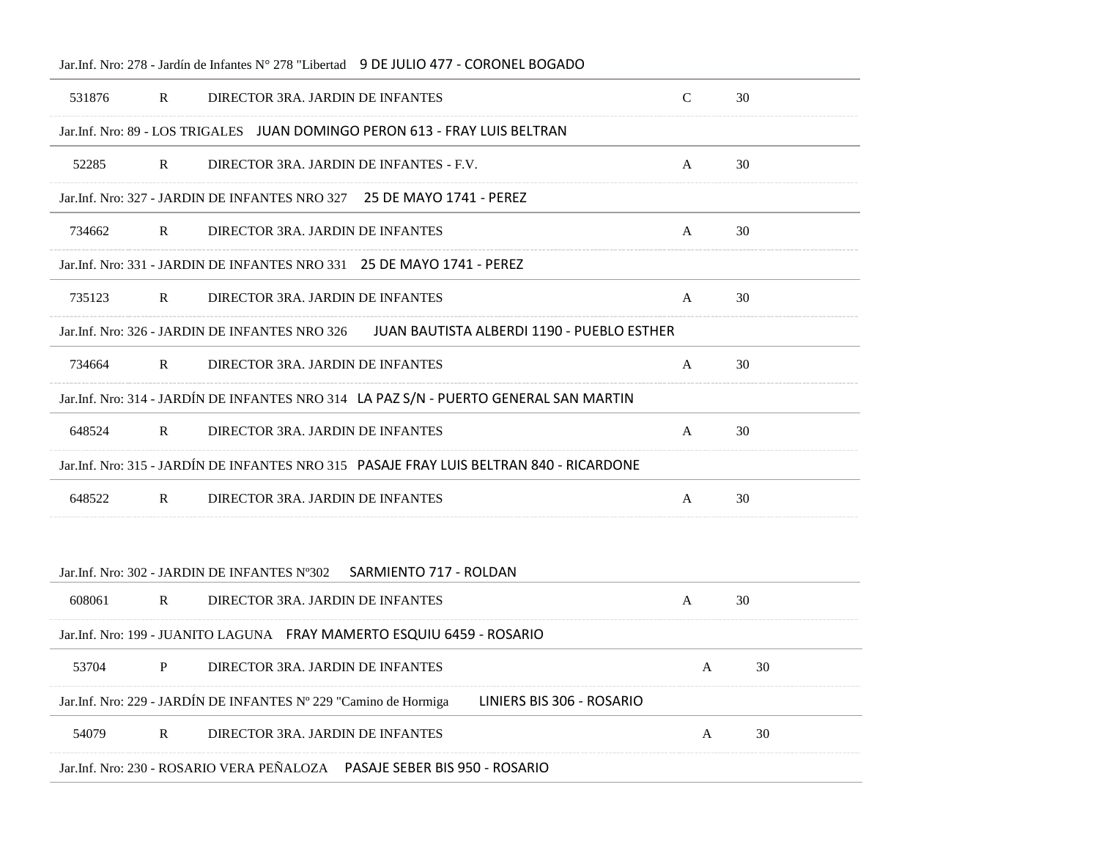| 531876 | $\mathbb{R}$ | DIRECTOR 3RA. JARDIN DE INFANTES                                                              | $\mathcal{C}$ | 30 |
|--------|--------------|-----------------------------------------------------------------------------------------------|---------------|----|
|        |              | Jar.Inf. Nro: 89 - LOS TRIGALES JUAN DOMINGO PERON 613 - FRAY LUIS BELTRAN                    |               |    |
| 52285  | $\mathbf{R}$ | DIRECTOR 3RA. JARDIN DE INFANTES - F.V.                                                       | A             | 30 |
|        |              | Jar.Inf. Nro: 327 - JARDIN DE INFANTES NRO 327 25 DE MAYO 1741 - PEREZ                        |               |    |
| 734662 | $\mathbb{R}$ | DIRECTOR 3RA. JARDIN DE INFANTES                                                              | A             | 30 |
|        |              | Jar. Inf. Nro: 331 - JARDIN DE INFANTES NRO 331 25 DE MAYO 1741 - PEREZ                       |               |    |
| 735123 | $\mathbf{R}$ | DIRECTOR 3RA. JARDIN DE INFANTES                                                              | A             | 30 |
|        |              | Jar. Inf. Nro: 326 - JARDIN DE INFANTES NRO 326<br>JUAN BAUTISTA ALBERDI 1190 - PUEBLO ESTHER |               |    |
| 734664 | R            | DIRECTOR 3RA. JARDIN DE INFANTES                                                              | A             | 30 |
|        |              | Jar.Inf. Nro: 314 - JARDÍN DE INFANTES NRO 314 LA PAZ S/N - PUERTO GENERAL SAN MARTIN         |               |    |
| 648524 | $\mathbb{R}$ | DIRECTOR 3RA. JARDIN DE INFANTES                                                              | A             | 30 |
|        |              | Jar.Inf. Nro: 315 - JARDÍN DE INFANTES NRO 315 PASAJE FRAY LUIS BELTRAN 840 - RICARDONE       |               |    |
| 648522 | $\mathbb{R}$ | DIRECTOR 3RA. JARDIN DE INFANTES                                                              | A             | 30 |
|        |              |                                                                                               |               |    |
|        |              | Jar. Inf. Nro: 302 - JARDIN DE INFANTES N°302<br>SARMIENTO 717 - ROLDAN                       |               |    |
| 608061 | R            | DIRECTOR 3RA. JARDIN DE INFANTES                                                              | A             | 30 |
|        |              | Jar.Inf. Nro: 199 - JUANITO LAGUNA     FRAY MAMERTO ESQUIU 6459 - ROSARIO                     |               |    |
| 53704  | P            | DIRECTOR 3RA. JARDIN DE INFANTES                                                              | A             | 30 |
|        |              | Jar.Inf. Nro: 229 - JARDÍN DE INFANTES Nº 229 "Camino de Hormiga<br>LINIERS BIS 306 - ROSARIO |               |    |
|        |              |                                                                                               |               |    |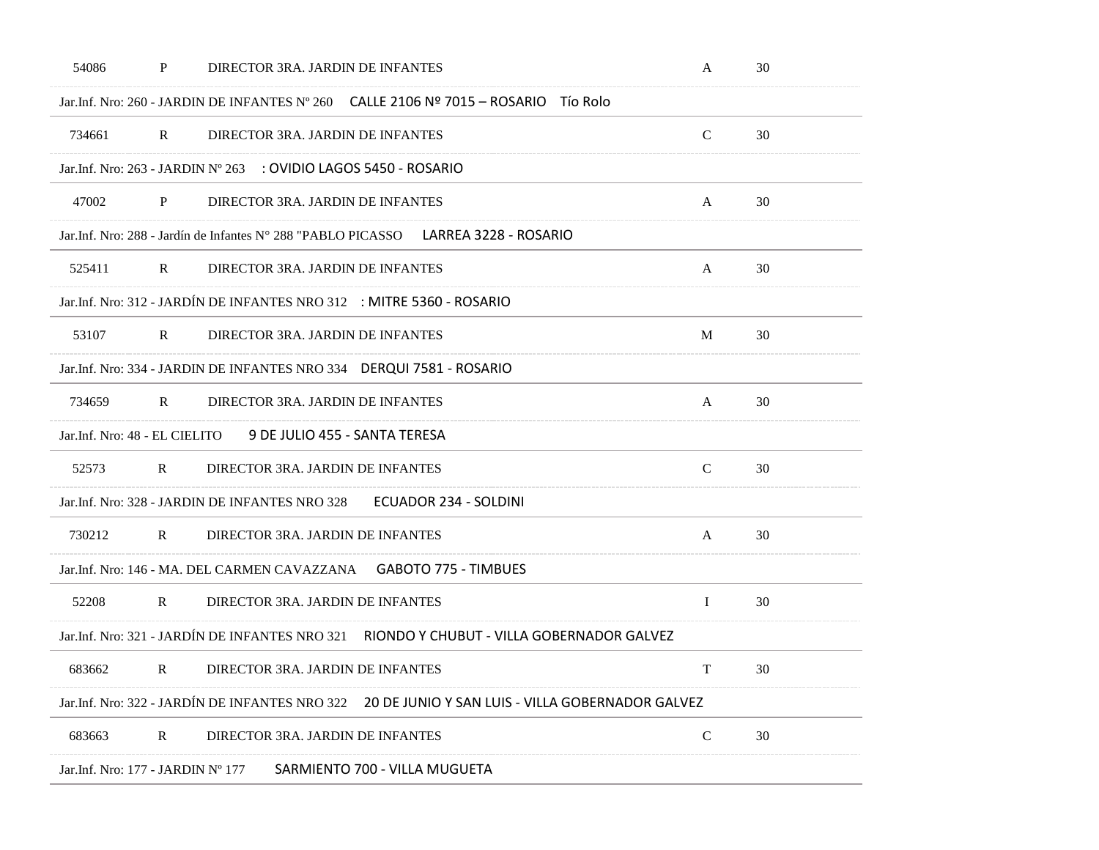| 54086                             | P            | DIRECTOR 3RA. JARDIN DE INFANTES                                                                | A             | 30 |
|-----------------------------------|--------------|-------------------------------------------------------------------------------------------------|---------------|----|
|                                   |              | Jar.Inf. Nro: 260 - JARDIN DE INFANTES N° 260 CALLE 2106 Nº 7015 - ROSARIO TÍO Rolo             |               |    |
| 734661                            | $\mathbb{R}$ | DIRECTOR 3RA. JARDIN DE INFANTES                                                                | $\mathcal{C}$ | 30 |
|                                   |              | Jar.Inf. Nro: 263 - JARDIN Nº 263 : OVIDIO LAGOS 5450 - ROSARIO                                 |               |    |
| 47002                             | $\mathbf{P}$ | DIRECTOR 3RA. JARDIN DE INFANTES                                                                | A             | 30 |
|                                   |              | Jar.Inf. Nro: 288 - Jardín de Infantes N° 288 "PABLO PICASSO LARREA 3228 - ROSARIO              |               |    |
| 525411                            | $\mathbf R$  | DIRECTOR 3RA. JARDIN DE INFANTES                                                                | A             | 30 |
|                                   |              | Jar.Inf. Nro: 312 - JARDÍN DE INFANTES NRO 312 : MITRE 5360 - ROSARIO                           |               |    |
| 53107                             | $\mathbf{R}$ | DIRECTOR 3RA. JARDIN DE INFANTES                                                                | M             | 30 |
|                                   |              | Jar.Inf. Nro: 334 - JARDIN DE INFANTES NRO 334  DERQUI 7581 - ROSARIO                           |               |    |
| 734659                            | $\mathbb{R}$ | DIRECTOR 3RA. JARDIN DE INFANTES                                                                | A             | 30 |
| Jar.Inf. Nro: 48 - EL CIELITO     |              | 9 DE JULIO 455 - SANTA TERESA                                                                   |               |    |
| 52573                             | $\mathbb{R}$ | DIRECTOR 3RA. JARDIN DE INFANTES                                                                | $\mathbf C$   | 30 |
|                                   |              | <b>ECUADOR 234 - SOLDINI</b><br>Jar.Inf. Nro: 328 - JARDIN DE INFANTES NRO 328                  |               |    |
| 730212                            | $\mathbf R$  | DIRECTOR 3RA. JARDIN DE INFANTES                                                                | A             | 30 |
|                                   |              | Jar.Inf. Nro: 146 - MA. DEL CARMEN CAVAZZANA    GABOTO 775 - TIMBUES                            |               |    |
| 52208                             | $\mathbf{R}$ | DIRECTOR 3RA. JARDIN DE INFANTES                                                                | Ι.            | 30 |
|                                   |              | Jar.Inf. Nro: 321 - JARDÍN DE INFANTES NRO 321 RIONDO Y CHUBUT - VILLA GOBERNADOR GALVEZ        |               |    |
| 683662                            | $\mathbf R$  | DIRECTOR 3RA. JARDIN DE INFANTES                                                                | T             | 30 |
|                                   |              | Jar.Inf. Nro: 322 - JARDÍN DE INFANTES NRO 322 20 DE JUNIO Y SAN LUIS - VILLA GOBERNADOR GALVEZ |               |    |
| 683663                            | $\mathbf R$  | DIRECTOR 3RA. JARDIN DE INFANTES                                                                | $\mathsf C$   | 30 |
| Jar.Inf. Nro: 177 - JARDIN Nº 177 |              | SARMIENTO 700 - VILLA MUGUETA                                                                   |               |    |
|                                   |              |                                                                                                 |               |    |